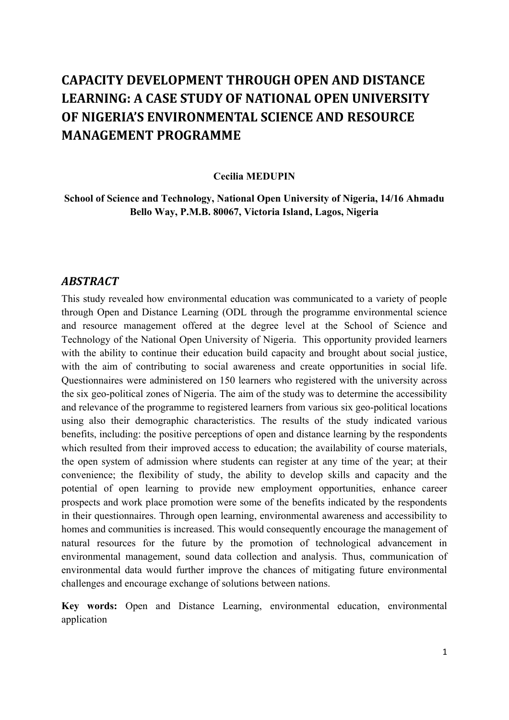# **CAPACITY DEVELOPMENT THROUGH OPEN AND DISTANCE LEARNING: A CASE STUDY OF NATIONAL OPEN UNIVERSITY OF NIGERIA'S ENVIRONMENTAL SCIENCE AND RESOURCE MANAGEMENT PROGRAMME**

#### **Cecilia MEDUPIN**

**School of Science and Technology, National Open University of Nigeria, 14/16 Ahmadu Bello Way, P.M.B. 80067, Victoria Island, Lagos, Nigeria**

### *ABSTRACT*

This study revealed how environmental education was communicated to a variety of people through Open and Distance Learning (ODL through the programme environmental science and resource management offered at the degree level at the School of Science and Technology of the National Open University of Nigeria. This opportunity provided learners with the ability to continue their education build capacity and brought about social justice, with the aim of contributing to social awareness and create opportunities in social life. Questionnaires were administered on 150 learners who registered with the university across the six geo-political zones of Nigeria. The aim of the study was to determine the accessibility and relevance of the programme to registered learners from various six geo-political locations using also their demographic characteristics. The results of the study indicated various benefits, including: the positive perceptions of open and distance learning by the respondents which resulted from their improved access to education; the availability of course materials, the open system of admission where students can register at any time of the year; at their convenience; the flexibility of study, the ability to develop skills and capacity and the potential of open learning to provide new employment opportunities, enhance career prospects and work place promotion were some of the benefits indicated by the respondents in their questionnaires. Through open learning, environmental awareness and accessibility to homes and communities is increased. This would consequently encourage the management of natural resources for the future by the promotion of technological advancement in environmental management, sound data collection and analysis. Thus, communication of environmental data would further improve the chances of mitigating future environmental challenges and encourage exchange of solutions between nations.

**Key words:** Open and Distance Learning, environmental education, environmental application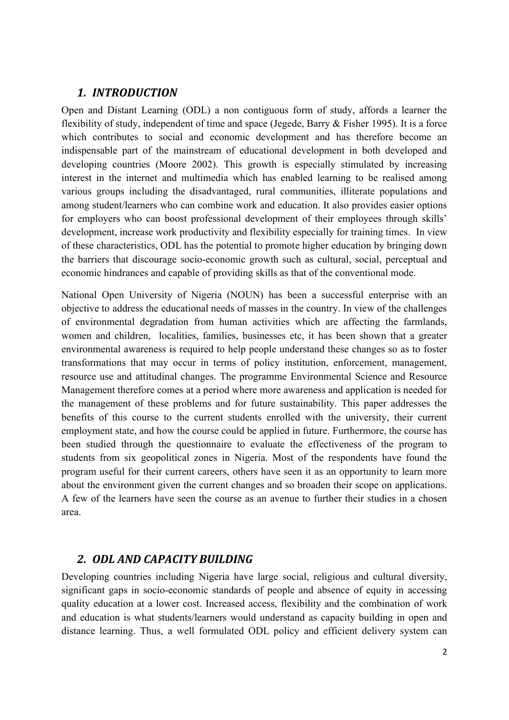### *1. INTRODUCTION*

Open and Distant Learning (ODL) a non contiguous form of study, affords a learner the flexibility of study, independent of time and space (Jegede, Barry & Fisher 1995). It is a force which contributes to social and economic development and has therefore become an indispensable part of the mainstream of educational development in both developed and developing countries (Moore 2002). This growth is especially stimulated by increasing interest in the internet and multimedia which has enabled learning to be realised among various groups including the disadvantaged, rural communities, illiterate populations and among student/learners who can combine work and education. It also provides easier options for employers who can boost professional development of their employees through skills' development, increase work productivity and flexibility especially for training times. In view of these characteristics, ODL has the potential to promote higher education by bringing down the barriers that discourage socio-economic growth such as cultural, social, perceptual and economic hindrances and capable of providing skills as that of the conventional mode.

National Open University of Nigeria (NOUN) has been a successful enterprise with an objective to address the educational needs of masses in the country. In view of the challenges of environmental degradation from human activities which are affecting the farmlands, women and children, localities, families, businesses etc, it has been shown that a greater environmental awareness is required to help people understand these changes so as to foster transformations that may occur in terms of policy institution, enforcement, management, resource use and attitudinal changes. The programme Environmental Science and Resource Management therefore comes at a period where more awareness and application is needed for the management of these problems and for future sustainability. This paper addresses the benefits of this course to the current students enrolled with the university, their current employment state, and how the course could be applied in future. Furthermore, the course has been studied through the questionnaire to evaluate the effectiveness of the program to students from six geopolitical zones in Nigeria. Most of the respondents have found the program useful for their current careers, others have seen it as an opportunity to learn more about the environment given the current changes and so broaden their scope on applications. A few of the learners have seen the course as an avenue to further their studies in a chosen area.

### *2. ODL AND CAPACITY BUILDING*

Developing countries including Nigeria have large social, religious and cultural diversity, significant gaps in socio-economic standards of people and absence of equity in accessing quality education at a lower cost. Increased access, flexibility and the combination of work and education is what students/learners would understand as capacity building in open and distance learning. Thus, a well formulated ODL policy and efficient delivery system can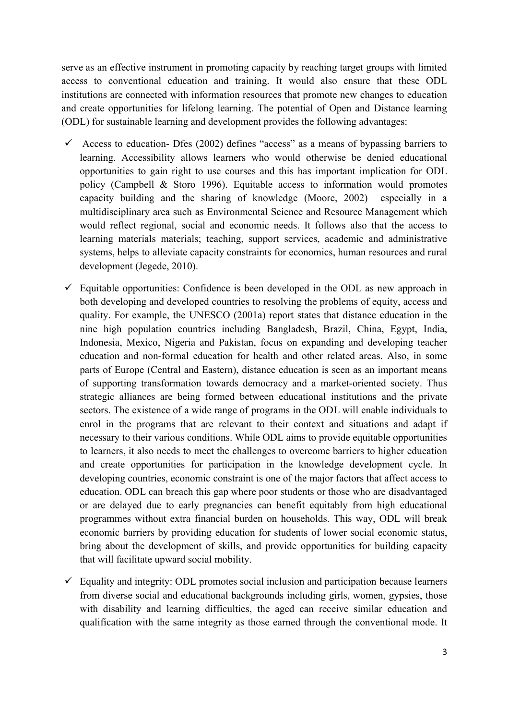serve as an effective instrument in promoting capacity by reaching target groups with limited access to conventional education and training. It would also ensure that these ODL institutions are connected with information resources that promote new changes to education and create opportunities for lifelong learning. The potential of Open and Distance learning (ODL) for sustainable learning and development provides the following advantages:

- $\checkmark$  Access to education- Dfes (2002) defines "access" as a means of bypassing barriers to learning. Accessibility allows learners who would otherwise be denied educational opportunities to gain right to use courses and this has important implication for ODL policy (Campbell & Storo 1996). Equitable access to information would promotes capacity building and the sharing of knowledge (Moore, 2002) especially in a multidisciplinary area such as Environmental Science and Resource Management which would reflect regional, social and economic needs. It follows also that the access to learning materials materials; teaching, support services, academic and administrative systems, helps to alleviate capacity constraints for economics, human resources and rural development (Jegede, 2010).
- $\checkmark$  Equitable opportunities: Confidence is been developed in the ODL as new approach in both developing and developed countries to resolving the problems of equity, access and quality. For example, the UNESCO (2001a) report states that distance education in the nine high population countries including Bangladesh, Brazil, China, Egypt, India, Indonesia, Mexico, Nigeria and Pakistan, focus on expanding and developing teacher education and non-formal education for health and other related areas. Also, in some parts of Europe (Central and Eastern), distance education is seen as an important means of supporting transformation towards democracy and a market-oriented society. Thus strategic alliances are being formed between educational institutions and the private sectors. The existence of a wide range of programs in the ODL will enable individuals to enrol in the programs that are relevant to their context and situations and adapt if necessary to their various conditions. While ODL aims to provide equitable opportunities to learners, it also needs to meet the challenges to overcome barriers to higher education and create opportunities for participation in the knowledge development cycle. In developing countries, economic constraint is one of the major factors that affect access to education. ODL can breach this gap where poor students or those who are disadvantaged or are delayed due to early pregnancies can benefit equitably from high educational programmes without extra financial burden on households. This way, ODL will break economic barriers by providing education for students of lower social economic status, bring about the development of skills, and provide opportunities for building capacity that will facilitate upward social mobility.
- $\checkmark$  Equality and integrity: ODL promotes social inclusion and participation because learners from diverse social and educational backgrounds including girls, women, gypsies, those with disability and learning difficulties, the aged can receive similar education and qualification with the same integrity as those earned through the conventional mode. It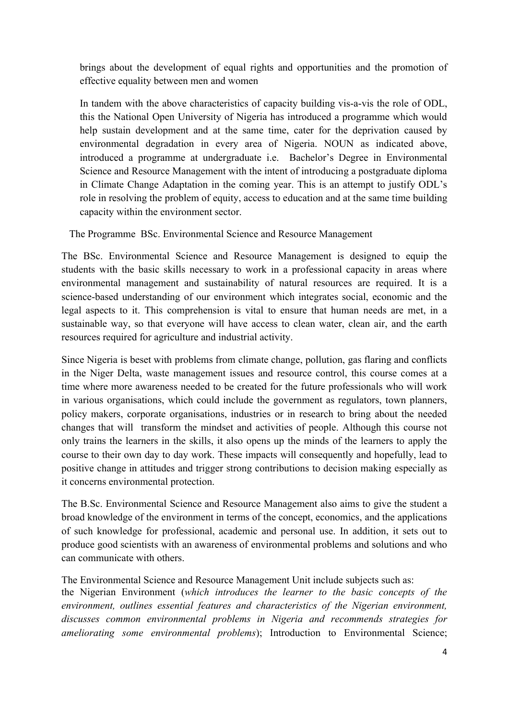brings about the development of equal rights and opportunities and the promotion of effective equality between men and women

In tandem with the above characteristics of capacity building vis-a-vis the role of ODL, this the National Open University of Nigeria has introduced a programme which would help sustain development and at the same time, cater for the deprivation caused by environmental degradation in every area of Nigeria. NOUN as indicated above, introduced a programme at undergraduate i.e. Bachelor's Degree in Environmental Science and Resource Management with the intent of introducing a postgraduate diploma in Climate Change Adaptation in the coming year. This is an attempt to justify ODL's role in resolving the problem of equity, access to education and at the same time building capacity within the environment sector.

The Programme BSc. Environmental Science and Resource Management

The BSc. Environmental Science and Resource Management is designed to equip the students with the basic skills necessary to work in a professional capacity in areas where environmental management and sustainability of natural resources are required. It is a science-based understanding of our environment which integrates social, economic and the legal aspects to it. This comprehension is vital to ensure that human needs are met, in a sustainable way, so that everyone will have access to clean water, clean air, and the earth resources required for agriculture and industrial activity.

Since Nigeria is beset with problems from climate change, pollution, gas flaring and conflicts in the Niger Delta, waste management issues and resource control, this course comes at a time where more awareness needed to be created for the future professionals who will work in various organisations, which could include the government as regulators, town planners, policy makers, corporate organisations, industries or in research to bring about the needed changes that will transform the mindset and activities of people. Although this course not only trains the learners in the skills, it also opens up the minds of the learners to apply the course to their own day to day work. These impacts will consequently and hopefully, lead to positive change in attitudes and trigger strong contributions to decision making especially as it concerns environmental protection.

The B.Sc. Environmental Science and Resource Management also aims to give the student a broad knowledge of the environment in terms of the concept, economics, and the applications of such knowledge for professional, academic and personal use. In addition, it sets out to produce good scientists with an awareness of environmental problems and solutions and who can communicate with others.

The Environmental Science and Resource Management Unit include subjects such as:

the Nigerian Environment (*which introduces the learner to the basic concepts of the environment, outlines essential features and characteristics of the Nigerian environment, discusses common environmental problems in Nigeria and recommends strategies for ameliorating some environmental problems*); Introduction to Environmental Science;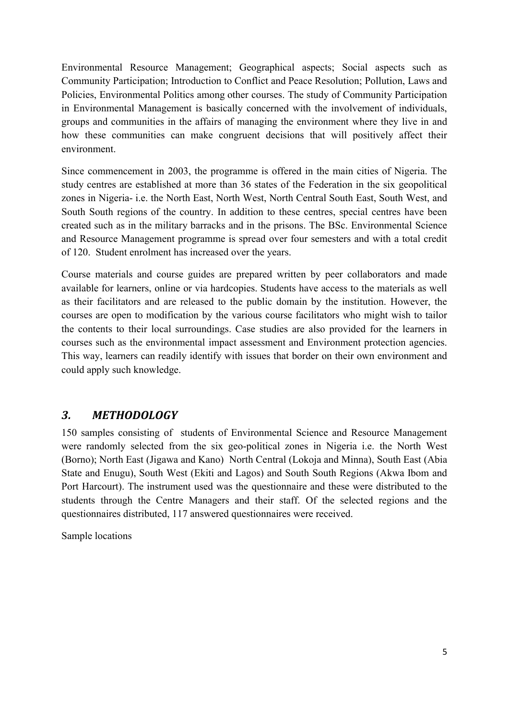Environmental Resource Management; Geographical aspects; Social aspects such as Community Participation; Introduction to Conflict and Peace Resolution; Pollution, Laws and Policies, Environmental Politics among other courses. The study of Community Participation in Environmental Management is basically concerned with the involvement of individuals, groups and communities in the affairs of managing the environment where they live in and how these communities can make congruent decisions that will positively affect their environment.

Since commencement in 2003, the programme is offered in the main cities of Nigeria. The study centres are established at more than 36 states of the Federation in the six geopolitical zones in Nigeria- i.e. the North East, North West, North Central South East, South West, and South South regions of the country. In addition to these centres, special centres have been created such as in the military barracks and in the prisons. The BSc. Environmental Science and Resource Management programme is spread over four semesters and with a total credit of 120. Student enrolment has increased over the years.

Course materials and course guides are prepared written by peer collaborators and made available for learners, online or via hardcopies. Students have access to the materials as well as their facilitators and are released to the public domain by the institution. However, the courses are open to modification by the various course facilitators who might wish to tailor the contents to their local surroundings. Case studies are also provided for the learners in courses such as the environmental impact assessment and Environment protection agencies. This way, learners can readily identify with issues that border on their own environment and could apply such knowledge.

## *3. METHODOLOGY*

150 samples consisting of students of Environmental Science and Resource Management were randomly selected from the six geo-political zones in Nigeria i.e. the North West (Borno); North East (Jigawa and Kano) North Central (Lokoja and Minna), South East (Abia State and Enugu), South West (Ekiti and Lagos) and South South Regions (Akwa Ibom and Port Harcourt). The instrument used was the questionnaire and these were distributed to the students through the Centre Managers and their staff. Of the selected regions and the questionnaires distributed, 117 answered questionnaires were received.

Sample locations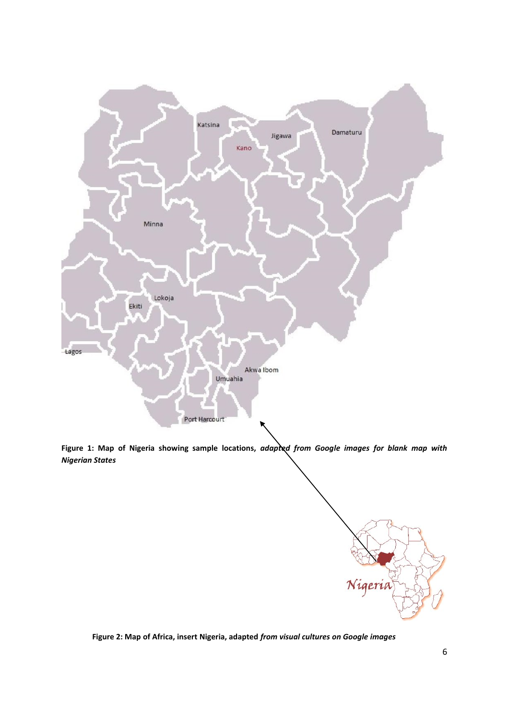

**Figure 1: Map of Nigeria showing sample locations,** *adapted from Google images for blank map with Nigerian States*



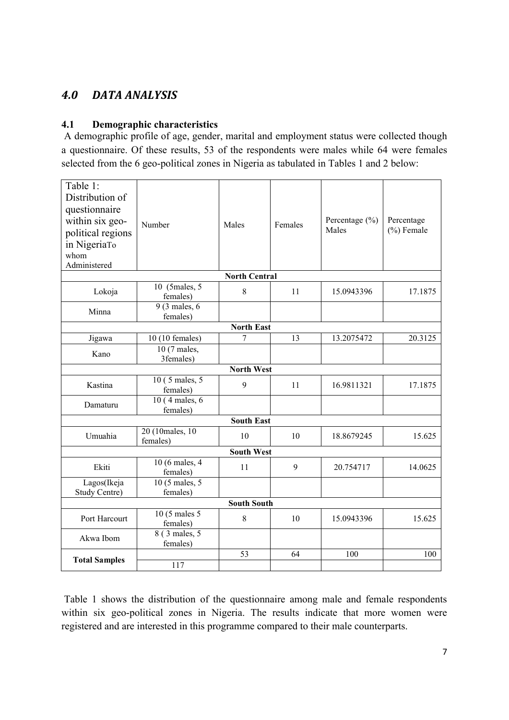## *4.0 DATA ANALYSIS*

### **4.1 Demographic characteristics**

A demographic profile of age, gender, marital and employment status were collected though a questionnaire. Of these results, 53 of the respondents were males while 64 were females selected from the 6 geo-political zones in Nigeria as tabulated in Tables 1 and 2 below:

| Table 1:<br>Distribution of<br>questionnaire<br>within six geo-<br>political regions<br>in NigeriaTo<br>whom<br>Administered | Number                               | Males | Females | Percentage $(\% )$<br>Males | Percentage<br>$(\%)$ Female |  |  |
|------------------------------------------------------------------------------------------------------------------------------|--------------------------------------|-------|---------|-----------------------------|-----------------------------|--|--|
| <b>North Central</b>                                                                                                         |                                      |       |         |                             |                             |  |  |
| Lokoja                                                                                                                       | 10 (5males, 5)<br>females)           | 8     | 11      | 15.0943396                  | 17.1875                     |  |  |
| Minna                                                                                                                        | $9(3 \text{ males}, 6)$<br>females)  |       |         |                             |                             |  |  |
| <b>North East</b>                                                                                                            |                                      |       |         |                             |                             |  |  |
| Jigawa                                                                                                                       | 10 (10 females)                      | 7     | 13      | 13.2075472                  | 20.3125                     |  |  |
| Kano                                                                                                                         | 10 (7 males,<br>3females)            |       |         |                             |                             |  |  |
| <b>North West</b>                                                                                                            |                                      |       |         |                             |                             |  |  |
| Kastina                                                                                                                      | 10 (5 males, 5)<br>females)          | 9     | 11      | 16.9811321                  | 17.1875                     |  |  |
| Damaturu                                                                                                                     | 10 (4 males, 6)<br>females)          |       |         |                             |                             |  |  |
| <b>South East</b>                                                                                                            |                                      |       |         |                             |                             |  |  |
| Umuahia                                                                                                                      | 20 (10males, 10)<br>females)         | 10    | 10      | 18.8679245                  | 15.625                      |  |  |
| <b>South West</b>                                                                                                            |                                      |       |         |                             |                             |  |  |
| Ekiti                                                                                                                        | $10(6$ males, 4<br>females)          | 11    | 9       | 20.754717                   | 14.0625                     |  |  |
| Lagos(Ikeja<br>Study Centre)                                                                                                 | 10 (5 males, 5)<br>females)          |       |         |                             |                             |  |  |
| <b>South South</b>                                                                                                           |                                      |       |         |                             |                             |  |  |
| Port Harcourt                                                                                                                | $10(5 \text{ males } 5)$<br>females) | 8     | 10      | 15.0943396                  | 15.625                      |  |  |
| Akwa Ibom                                                                                                                    | 8 (3 males, 5)<br>females)           |       |         |                             |                             |  |  |
| <b>Total Samples</b>                                                                                                         |                                      | 53    | 64      | 100                         | 100                         |  |  |
|                                                                                                                              | 117                                  |       |         |                             |                             |  |  |

Table 1 shows the distribution of the questionnaire among male and female respondents within six geo-political zones in Nigeria. The results indicate that more women were registered and are interested in this programme compared to their male counterparts.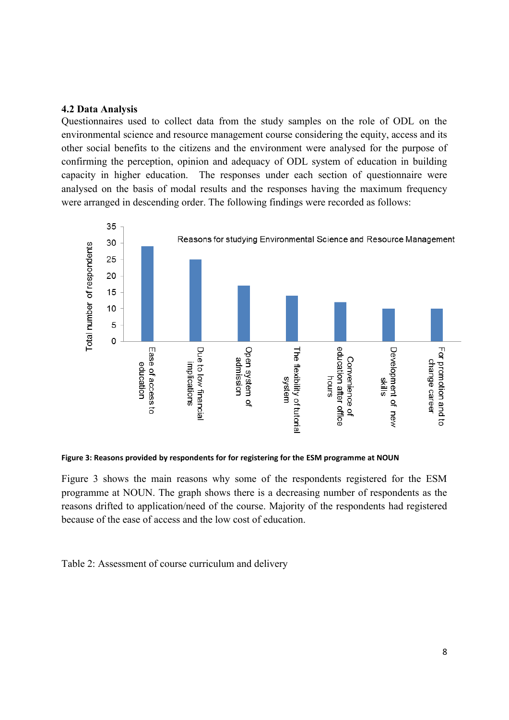#### **4.2 Data Analysis**

Questionnaires used to collect data from the study samples on the role of ODL on the environmental science and resource management course considering the equity, access and its other social benefits to the citizens and the environment were analysed for the purpose of confirming the perception, opinion and adequacy of ODL system of education in building capacity in higher education. The responses under each section of questionnaire were analysed on the basis of modal results and the responses having the maximum frequency were arranged in descending order. The following findings were recorded as follows:



**Figure 3: Reasons provided by respondents for for registering for the ESM programme at NOUN**

Figure 3 shows the main reasons why some of the respondents registered for the ESM programme at NOUN. The graph shows there is a decreasing number of respondents as the reasons drifted to application/need of the course. Majority of the respondents had registered because of the ease of access and the low cost of education.

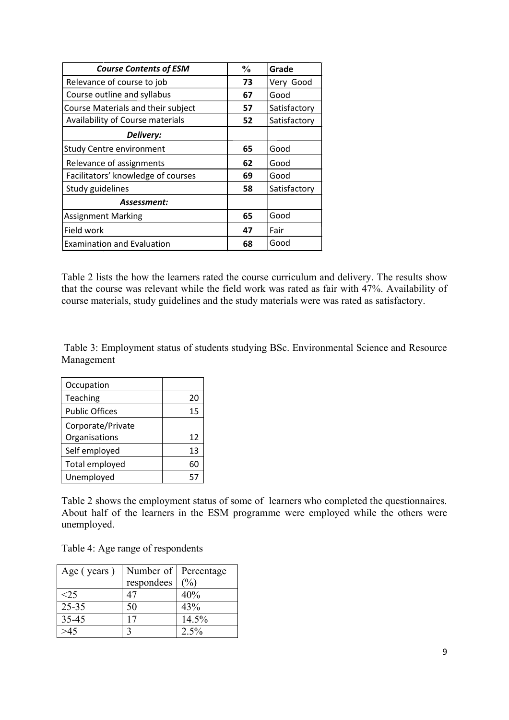| <b>Course Contents of ESM</b>      | $\frac{6}{9}$ | Grade        |
|------------------------------------|---------------|--------------|
| Relevance of course to job         | 73            | Very Good    |
| Course outline and syllabus        | 67            | Good         |
| Course Materials and their subject | 57            | Satisfactory |
| Availability of Course materials   | 52            | Satisfactory |
| Delivery:                          |               |              |
| <b>Study Centre environment</b>    | 65            | Good         |
| Relevance of assignments           | 62            | Good         |
| Facilitators' knowledge of courses | 69            | Good         |
| Study guidelines                   | 58            | Satisfactory |
| Assessment:                        |               |              |
| <b>Assignment Marking</b>          | 65            | Good         |
| Field work                         | 47            | Fair         |
| <b>Examination and Evaluation</b>  | 68            | Good         |

Table 2 lists the how the learners rated the course curriculum and delivery. The results show that the course was relevant while the field work was rated as fair with 47%. Availability of course materials, study guidelines and the study materials were was rated as satisfactory.

Table 3: Employment status of students studying BSc. Environmental Science and Resource Management

| Occupation            |    |
|-----------------------|----|
| Teaching              | 20 |
| <b>Public Offices</b> | 15 |
| Corporate/Private     |    |
| Organisations         | 12 |
| Self employed         | 13 |
| Total employed        | 60 |
| Unemployed            |    |

Table 2 shows the employment status of some of learners who completed the questionnaires. About half of the learners in the ESM programme were employed while the others were unemployed.

Table 4: Age range of respondents

| Age (years) | Number of Percentage |                |  |
|-------------|----------------------|----------------|--|
|             | respondees           | $\binom{0}{0}$ |  |
| < 25        |                      | 40%            |  |
| $25 - 35$   | 50                   | 43%            |  |
| 35-45       |                      | 14.5%          |  |
|             |                      | $2.5\%$        |  |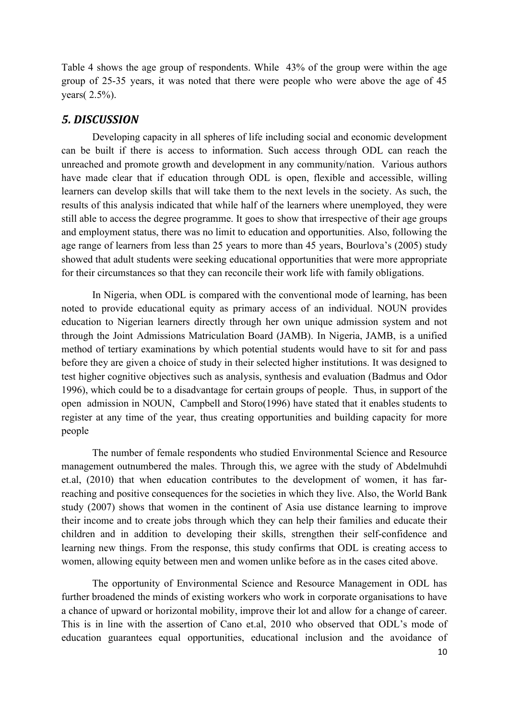Table 4 shows the age group of respondents. While 43% of the group were within the age group of 25-35 years, it was noted that there were people who were above the age of 45 years( 2.5%).

### *5. DISCUSSION*

Developing capacity in all spheres of life including social and economic development can be built if there is access to information. Such access through ODL can reach the unreached and promote growth and development in any community/nation. Various authors have made clear that if education through ODL is open, flexible and accessible, willing learners can develop skills that will take them to the next levels in the society. As such, the results of this analysis indicated that while half of the learners where unemployed, they were still able to access the degree programme. It goes to show that irrespective of their age groups and employment status, there was no limit to education and opportunities. Also, following the age range of learners from less than 25 years to more than 45 years, Bourlova's (2005) study showed that adult students were seeking educational opportunities that were more appropriate for their circumstances so that they can reconcile their work life with family obligations.

In Nigeria, when ODL is compared with the conventional mode of learning, has been noted to provide educational equity as primary access of an individual. NOUN provides education to Nigerian learners directly through her own unique admission system and not through the Joint Admissions Matriculation Board (JAMB). In Nigeria, JAMB, is a unified method of tertiary examinations by which potential students would have to sit for and pass before they are given a choice of study in their selected higher institutions. It was designed to test higher cognitive objectives such as analysis, synthesis and evaluation (Badmus and Odor 1996), which could be to a disadvantage for certain groups of people. Thus, in support of the open admission in NOUN, Campbell and Storo(1996) have stated that it enables students to register at any time of the year, thus creating opportunities and building capacity for more people

The number of female respondents who studied Environmental Science and Resource management outnumbered the males. Through this, we agree with the study of Abdelmuhdi et.al, (2010) that when education contributes to the development of women, it has farreaching and positive consequences for the societies in which they live. Also, the World Bank study (2007) shows that women in the continent of Asia use distance learning to improve their income and to create jobs through which they can help their families and educate their children and in addition to developing their skills, strengthen their self-confidence and learning new things. From the response, this study confirms that ODL is creating access to women, allowing equity between men and women unlike before as in the cases cited above.

The opportunity of Environmental Science and Resource Management in ODL has further broadened the minds of existing workers who work in corporate organisations to have a chance of upward or horizontal mobility, improve their lot and allow for a change of career. This is in line with the assertion of Cano et.al, 2010 who observed that ODL's mode of education guarantees equal opportunities, educational inclusion and the avoidance of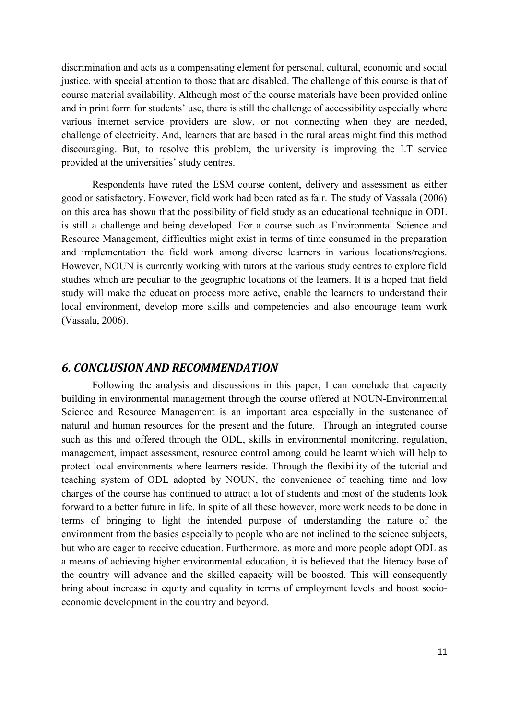discrimination and acts as a compensating element for personal, cultural, economic and social justice, with special attention to those that are disabled. The challenge of this course is that of course material availability. Although most of the course materials have been provided online and in print form for students' use, there is still the challenge of accessibility especially where various internet service providers are slow, or not connecting when they are needed, challenge of electricity. And, learners that are based in the rural areas might find this method discouraging. But, to resolve this problem, the university is improving the I.T service provided at the universities' study centres.

Respondents have rated the ESM course content, delivery and assessment as either good or satisfactory. However, field work had been rated as fair. The study of Vassala (2006) on this area has shown that the possibility of field study as an educational technique in ODL is still a challenge and being developed. For a course such as Environmental Science and Resource Management, difficulties might exist in terms of time consumed in the preparation and implementation the field work among diverse learners in various locations/regions. However, NOUN is currently working with tutors at the various study centres to explore field studies which are peculiar to the geographic locations of the learners. It is a hoped that field study will make the education process more active, enable the learners to understand their local environment, develop more skills and competencies and also encourage team work (Vassala, 2006).

#### *6. CONCLUSION AND RECOMMENDATION*

Following the analysis and discussions in this paper, I can conclude that capacity building in environmental management through the course offered at NOUN-Environmental Science and Resource Management is an important area especially in the sustenance of natural and human resources for the present and the future. Through an integrated course such as this and offered through the ODL, skills in environmental monitoring, regulation, management, impact assessment, resource control among could be learnt which will help to protect local environments where learners reside. Through the flexibility of the tutorial and teaching system of ODL adopted by NOUN, the convenience of teaching time and low charges of the course has continued to attract a lot of students and most of the students look forward to a better future in life. In spite of all these however, more work needs to be done in terms of bringing to light the intended purpose of understanding the nature of the environment from the basics especially to people who are not inclined to the science subjects, but who are eager to receive education. Furthermore, as more and more people adopt ODL as a means of achieving higher environmental education, it is believed that the literacy base of the country will advance and the skilled capacity will be boosted. This will consequently bring about increase in equity and equality in terms of employment levels and boost socioeconomic development in the country and beyond.